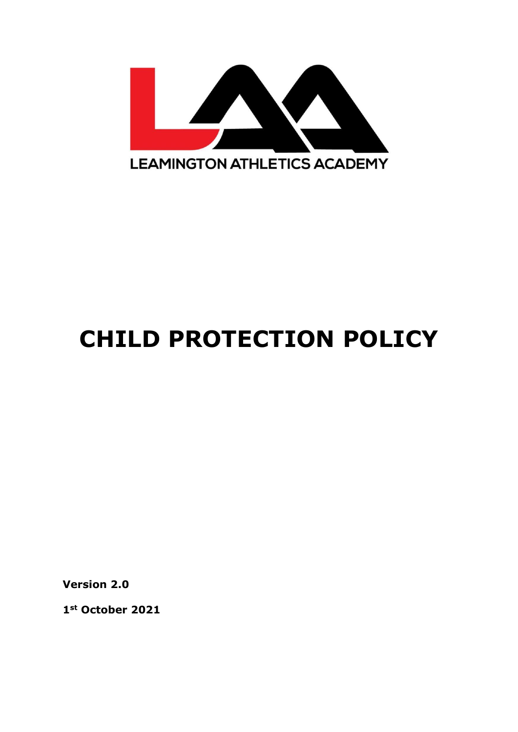

# **CHILD PROTECTION POLICY**

**Version 2.0**

**1st October 2021**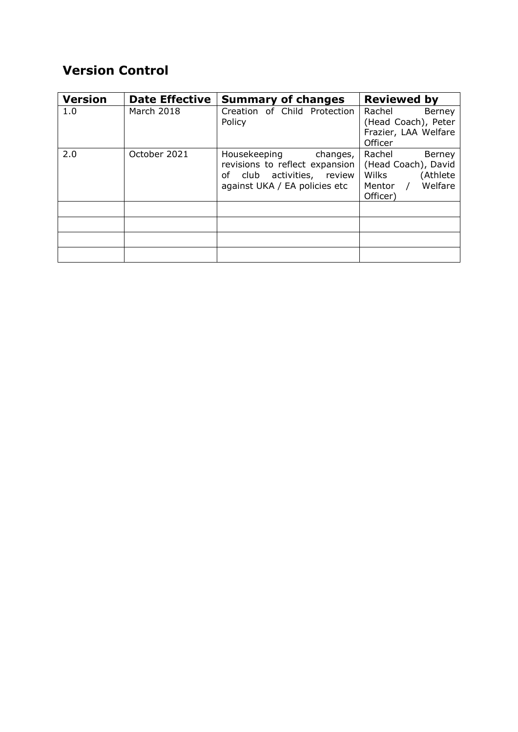# **Version Control**

| <b>Version</b> | <b>Date Effective</b> | <b>Summary of changes</b>                                                                                                 | <b>Reviewed by</b>                                                                                          |
|----------------|-----------------------|---------------------------------------------------------------------------------------------------------------------------|-------------------------------------------------------------------------------------------------------------|
| 1.0            | March 2018            | Creation of Child Protection<br>Policy                                                                                    | Rachel<br>Berney<br>(Head Coach), Peter<br>Frazier, LAA Welfare<br>Officer                                  |
| 2.0            | October 2021          | Housekeeping<br>changes,<br>revisions to reflect expansion<br>of club activities, review<br>against UKA / EA policies etc | Rachel<br>Berney<br>(Head Coach), David<br>Wilks<br>(Athlete<br>Welfare<br>Mentor<br>$\sqrt{ }$<br>Officer) |
|                |                       |                                                                                                                           |                                                                                                             |
|                |                       |                                                                                                                           |                                                                                                             |
|                |                       |                                                                                                                           |                                                                                                             |
|                |                       |                                                                                                                           |                                                                                                             |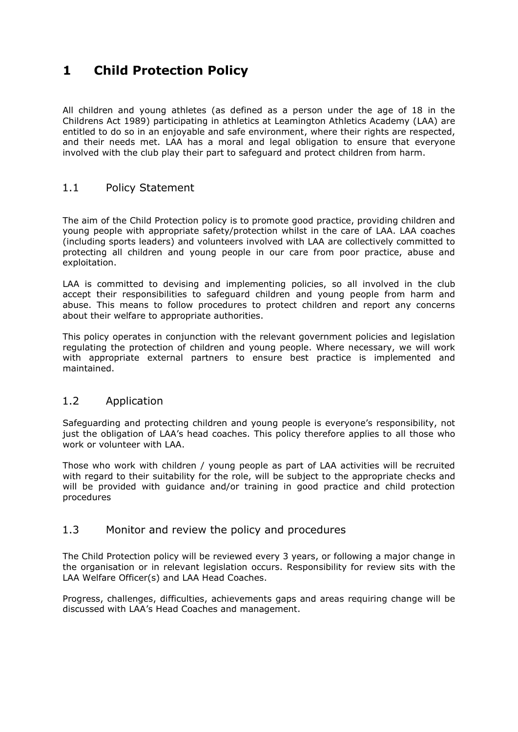## **1 Child Protection Policy**

All children and young athletes (as defined as a person under the age of 18 in the Childrens Act 1989) participating in athletics at Leamington Athletics Academy (LAA) are entitled to do so in an enjoyable and safe environment, where their rights are respected, and their needs met. LAA has a moral and legal obligation to ensure that everyone involved with the club play their part to safeguard and protect children from harm.

#### 1.1 Policy Statement

The aim of the Child Protection policy is to promote good practice, providing children and young people with appropriate safety/protection whilst in the care of LAA. LAA coaches (including sports leaders) and volunteers involved with LAA are collectively committed to protecting all children and young people in our care from poor practice, abuse and exploitation.

LAA is committed to devising and implementing policies, so all involved in the club accept their responsibilities to safeguard children and young people from harm and abuse. This means to follow procedures to protect children and report any concerns about their welfare to appropriate authorities.

This policy operates in conjunction with the relevant government policies and legislation regulating the protection of children and young people. Where necessary, we will work with appropriate external partners to ensure best practice is implemented and maintained.

#### 1.2 Application

Safeguarding and protecting children and young people is everyone's responsibility, not just the obligation of LAA's head coaches. This policy therefore applies to all those who work or volunteer with LAA.

Those who work with children / young people as part of LAA activities will be recruited with regard to their suitability for the role, will be subject to the appropriate checks and will be provided with guidance and/or training in good practice and child protection procedures

#### 1.3 Monitor and review the policy and procedures

The Child Protection policy will be reviewed every 3 years, or following a major change in the organisation or in relevant legislation occurs. Responsibility for review sits with the LAA Welfare Officer(s) and LAA Head Coaches.

Progress, challenges, difficulties, achievements gaps and areas requiring change will be discussed with LAA's Head Coaches and management.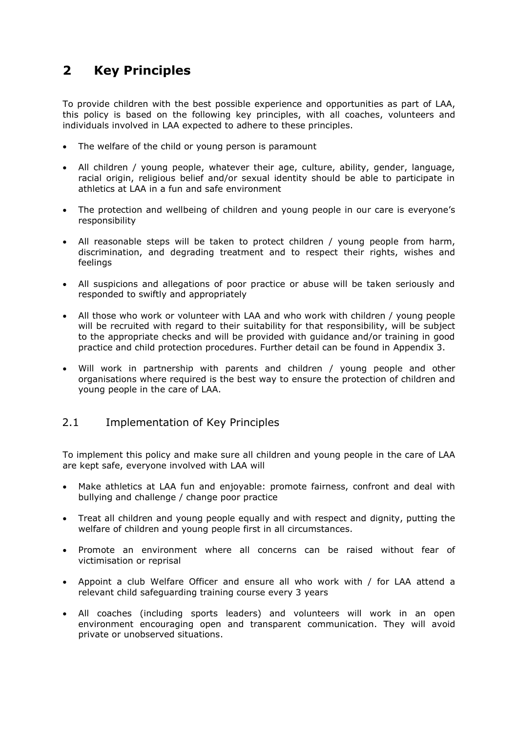## **2 Key Principles**

To provide children with the best possible experience and opportunities as part of LAA, this policy is based on the following key principles, with all coaches, volunteers and individuals involved in LAA expected to adhere to these principles.

- The welfare of the child or young person is paramount
- All children / young people, whatever their age, culture, ability, gender, language, racial origin, religious belief and/or sexual identity should be able to participate in athletics at LAA in a fun and safe environment
- The protection and wellbeing of children and young people in our care is everyone's responsibility
- All reasonable steps will be taken to protect children / young people from harm, discrimination, and degrading treatment and to respect their rights, wishes and feelings
- All suspicions and allegations of poor practice or abuse will be taken seriously and responded to swiftly and appropriately
- All those who work or volunteer with LAA and who work with children / young people will be recruited with regard to their suitability for that responsibility, will be subject to the appropriate checks and will be provided with guidance and/or training in good practice and child protection procedures. Further detail can be found in Appendix 3.
- Will work in partnership with parents and children / young people and other organisations where required is the best way to ensure the protection of children and young people in the care of LAA.

#### 2.1 Implementation of Key Principles

To implement this policy and make sure all children and young people in the care of LAA are kept safe, everyone involved with LAA will

- Make athletics at LAA fun and enjoyable: promote fairness, confront and deal with bullying and challenge / change poor practice
- Treat all children and young people equally and with respect and dignity, putting the welfare of children and young people first in all circumstances.
- Promote an environment where all concerns can be raised without fear of victimisation or reprisal
- Appoint a club Welfare Officer and ensure all who work with / for LAA attend a relevant child safeguarding training course every 3 years
- All coaches (including sports leaders) and volunteers will work in an open environment encouraging open and transparent communication. They will avoid private or unobserved situations.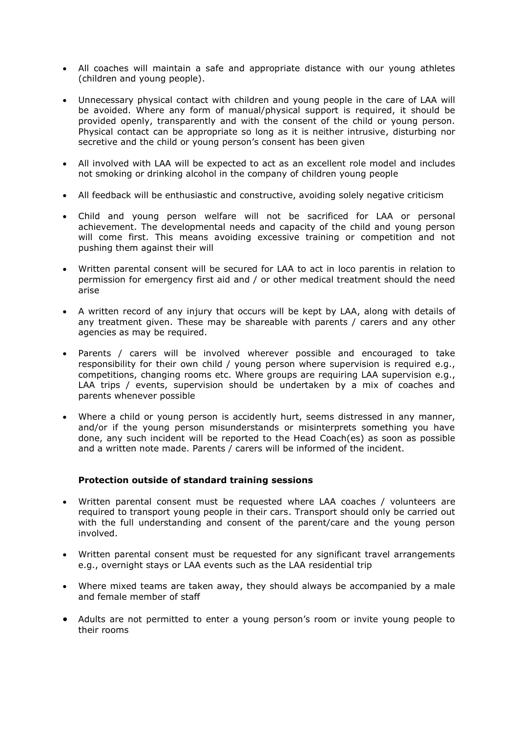- All coaches will maintain a safe and appropriate distance with our young athletes (children and young people).
- Unnecessary physical contact with children and young people in the care of LAA will be avoided. Where any form of manual/physical support is required, it should be provided openly, transparently and with the consent of the child or young person. Physical contact can be appropriate so long as it is neither intrusive, disturbing nor secretive and the child or young person's consent has been given
- All involved with LAA will be expected to act as an excellent role model and includes not smoking or drinking alcohol in the company of children young people
- All feedback will be enthusiastic and constructive, avoiding solely negative criticism
- Child and young person welfare will not be sacrificed for LAA or personal achievement. The developmental needs and capacity of the child and young person will come first. This means avoiding excessive training or competition and not pushing them against their will
- Written parental consent will be secured for LAA to act in loco parentis in relation to permission for emergency first aid and / or other medical treatment should the need arise
- A written record of any injury that occurs will be kept by LAA, along with details of any treatment given. These may be shareable with parents / carers and any other agencies as may be required.
- Parents / carers will be involved wherever possible and encouraged to take responsibility for their own child / young person where supervision is required e.g., competitions, changing rooms etc. Where groups are requiring LAA supervision e.g., LAA trips / events, supervision should be undertaken by a mix of coaches and parents whenever possible
- Where a child or young person is accidently hurt, seems distressed in any manner, and/or if the young person misunderstands or misinterprets something you have done, any such incident will be reported to the Head Coach(es) as soon as possible and a written note made. Parents / carers will be informed of the incident.

#### **Protection outside of standard training sessions**

- Written parental consent must be requested where LAA coaches / volunteers are required to transport young people in their cars. Transport should only be carried out with the full understanding and consent of the parent/care and the young person involved.
- Written parental consent must be requested for any significant travel arrangements e.g., overnight stays or LAA events such as the LAA residential trip
- Where mixed teams are taken away, they should always be accompanied by a male and female member of staff
- Adults are not permitted to enter a young person's room or invite young people to their rooms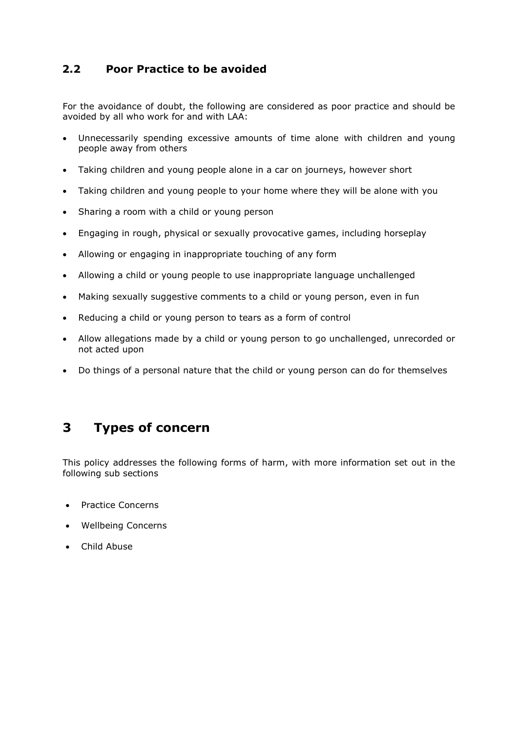#### **2.2 Poor Practice to be avoided**

For the avoidance of doubt, the following are considered as poor practice and should be avoided by all who work for and with LAA:

- Unnecessarily spending excessive amounts of time alone with children and young people away from others
- Taking children and young people alone in a car on journeys, however short
- Taking children and young people to your home where they will be alone with you
- Sharing a room with a child or young person
- Engaging in rough, physical or sexually provocative games, including horseplay
- Allowing or engaging in inappropriate touching of any form
- Allowing a child or young people to use inappropriate language unchallenged
- Making sexually suggestive comments to a child or young person, even in fun
- Reducing a child or young person to tears as a form of control
- Allow allegations made by a child or young person to go unchallenged, unrecorded or not acted upon
- Do things of a personal nature that the child or young person can do for themselves

## **3 Types of concern**

This policy addresses the following forms of harm, with more information set out in the following sub sections

- Practice Concerns
- Wellbeing Concerns
- Child Abuse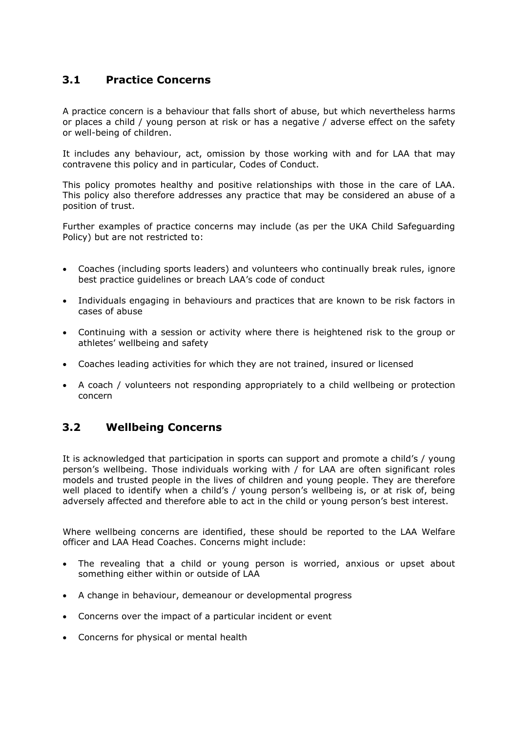#### **3.1 Practice Concerns**

A practice concern is a behaviour that falls short of abuse, but which nevertheless harms or places a child / young person at risk or has a negative / adverse effect on the safety or well-being of children.

It includes any behaviour, act, omission by those working with and for LAA that may contravene this policy and in particular, Codes of Conduct.

This policy promotes healthy and positive relationships with those in the care of LAA. This policy also therefore addresses any practice that may be considered an abuse of a position of trust.

Further examples of practice concerns may include (as per the UKA Child Safeguarding Policy) but are not restricted to:

- Coaches (including sports leaders) and volunteers who continually break rules, ignore best practice guidelines or breach LAA's code of conduct
- Individuals engaging in behaviours and practices that are known to be risk factors in cases of abuse
- Continuing with a session or activity where there is heightened risk to the group or athletes' wellbeing and safety
- Coaches leading activities for which they are not trained, insured or licensed
- A coach / volunteers not responding appropriately to a child wellbeing or protection concern

#### **3.2 Wellbeing Concerns**

It is acknowledged that participation in sports can support and promote a child's / young person's wellbeing. Those individuals working with / for LAA are often significant roles models and trusted people in the lives of children and young people. They are therefore well placed to identify when a child's / young person's wellbeing is, or at risk of, being adversely affected and therefore able to act in the child or young person's best interest.

Where wellbeing concerns are identified, these should be reported to the LAA Welfare officer and LAA Head Coaches. Concerns might include:

- The revealing that a child or young person is worried, anxious or upset about something either within or outside of LAA
- A change in behaviour, demeanour or developmental progress
- Concerns over the impact of a particular incident or event
- Concerns for physical or mental health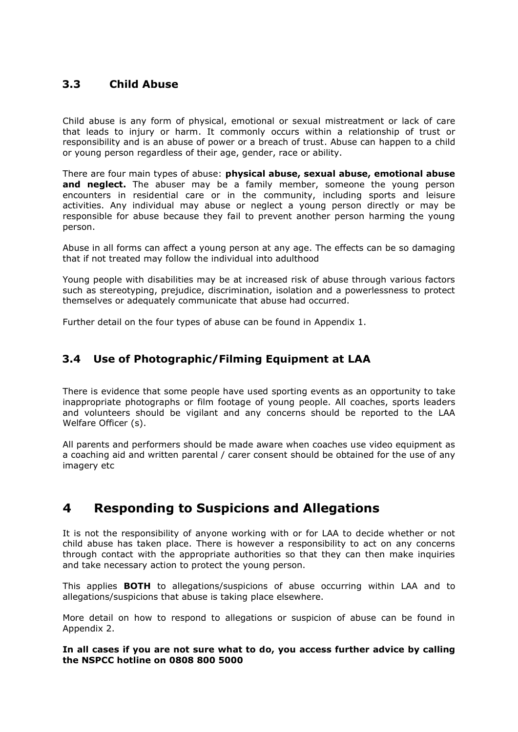#### **3.3 Child Abuse**

Child abuse is any form of physical, emotional or sexual mistreatment or lack of care that leads to injury or harm. It commonly occurs within a relationship of trust or responsibility and is an abuse of power or a breach of trust. Abuse can happen to a child or young person regardless of their age, gender, race or ability.

There are four main types of abuse: **physical abuse, sexual abuse, emotional abuse and neglect.** The abuser may be a family member, someone the young person encounters in residential care or in the community, including sports and leisure activities. Any individual may abuse or neglect a young person directly or may be responsible for abuse because they fail to prevent another person harming the young person.

Abuse in all forms can affect a young person at any age. The effects can be so damaging that if not treated may follow the individual into adulthood

Young people with disabilities may be at increased risk of abuse through various factors such as stereotyping, prejudice, discrimination, isolation and a powerlessness to protect themselves or adequately communicate that abuse had occurred.

Further detail on the four types of abuse can be found in Appendix 1.

#### **3.4 Use of Photographic/Filming Equipment at LAA**

There is evidence that some people have used sporting events as an opportunity to take inappropriate photographs or film footage of young people. All coaches, sports leaders and volunteers should be vigilant and any concerns should be reported to the LAA Welfare Officer (s).

All parents and performers should be made aware when coaches use video equipment as a coaching aid and written parental / carer consent should be obtained for the use of any imagery etc

## **4 Responding to Suspicions and Allegations**

It is not the responsibility of anyone working with or for LAA to decide whether or not child abuse has taken place. There is however a responsibility to act on any concerns through contact with the appropriate authorities so that they can then make inquiries and take necessary action to protect the young person.

This applies **BOTH** to allegations/suspicions of abuse occurring within LAA and to allegations/suspicions that abuse is taking place elsewhere.

More detail on how to respond to allegations or suspicion of abuse can be found in Appendix 2.

**In all cases if you are not sure what to do, you access further advice by calling the NSPCC hotline on 0808 800 5000**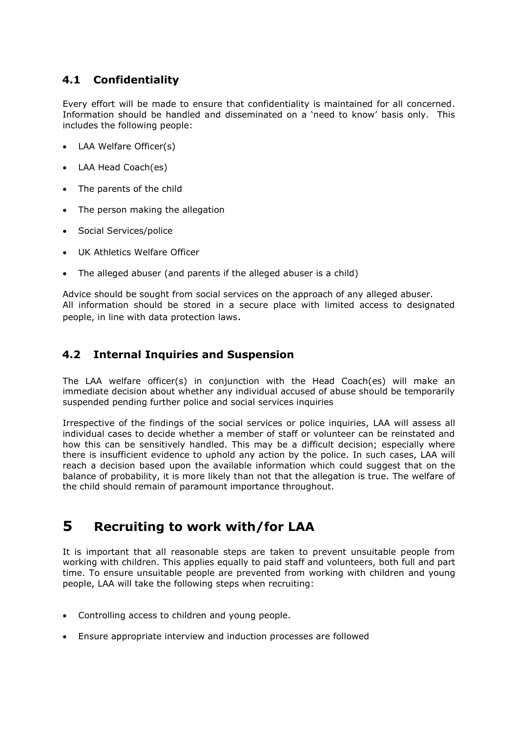#### **4.1 Confidentiality**

Every effort will be made to ensure that confidentiality is maintained for all concerned. Information should be handled and disseminated on a 'need to know' basis only. This includes the following people:

- LAA Welfare Officer(s)
- LAA Head Coach(es)
- The parents of the child
- The person making the allegation
- Social Services/police
- UK Athletics Welfare Officer
- The alleged abuser (and parents if the alleged abuser is a child)

Advice should be sought from social services on the approach of any alleged abuser. All information should be stored in a secure place with limited access to designated people, in line with data protection laws.

#### **4.2 Internal Inquiries and Suspension**

The LAA welfare officer(s) in conjunction with the Head Coach(es) will make an immediate decision about whether any individual accused of abuse should be temporarily suspended pending further police and social services inquiries

Irrespective of the findings of the social services or police inquiries, LAA will assess all individual cases to decide whether a member of staff or volunteer can be reinstated and how this can be sensitively handled. This may be a difficult decision; especially where there is insufficient evidence to uphold any action by the police. In such cases, LAA will reach a decision based upon the available information which could suggest that on the balance of probability, it is more likely than not that the allegation is true. The welfare of the child should remain of paramount importance throughout.

## **5 Recruiting to work with/for LAA**

It is important that all reasonable steps are taken to prevent unsuitable people from working with children. This applies equally to paid staff and volunteers, both full and part time. To ensure unsuitable people are prevented from working with children and young people, LAA will take the following steps when recruiting:

- Controlling access to children and young people.
- Ensure appropriate interview and induction processes are followed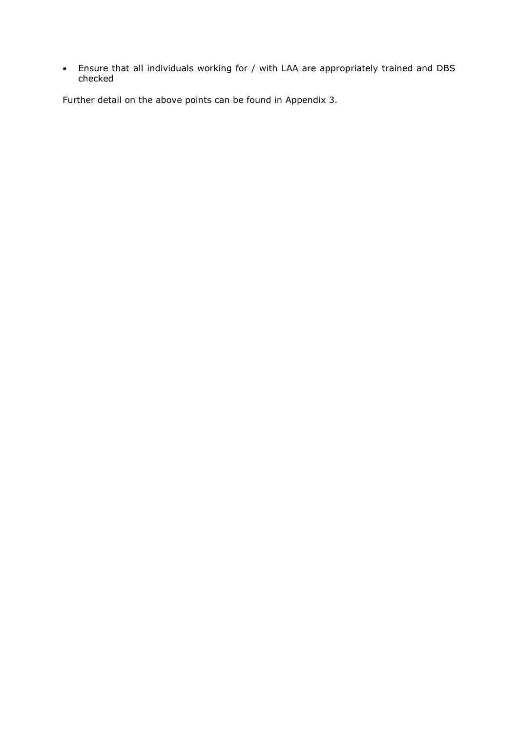• Ensure that all individuals working for / with LAA are appropriately trained and DBS checked

Further detail on the above points can be found in Appendix 3.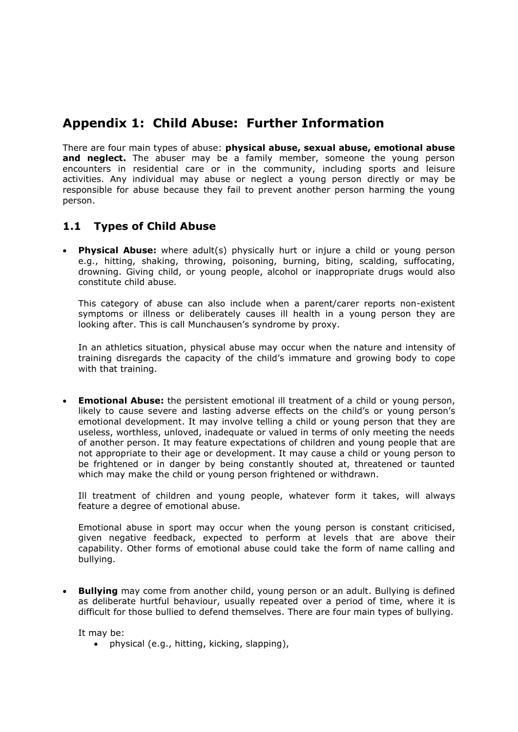## **Appendix 1: Child Abuse: Further Information**

There are four main types of abuse: **physical abuse, sexual abuse, emotional abuse and neglect.** The abuser may be a family member, someone the young person encounters in residential care or in the community, including sports and leisure activities. Any individual may abuse or neglect a young person directly or may be responsible for abuse because they fail to prevent another person harming the young person.

#### **1.1 Types of Child Abuse**

**Physical Abuse:** where adult(s) physically hurt or injure a child or young person e.g., hitting, shaking, throwing, poisoning, burning, biting, scalding, suffocating, drowning. Giving child, or young people, alcohol or inappropriate drugs would also constitute child abuse.

This category of abuse can also include when a parent/carer reports non-existent symptoms or illness or deliberately causes ill health in a young person they are looking after. This is call Munchausen's syndrome by proxy.

In an athletics situation, physical abuse may occur when the nature and intensity of training disregards the capacity of the child's immature and growing body to cope with that training.

• **Emotional Abuse:** the persistent emotional ill treatment of a child or young person, likely to cause severe and lasting adverse effects on the child's or young person's emotional development. It may involve telling a child or young person that they are useless, worthless, unloved, inadequate or valued in terms of only meeting the needs of another person. It may feature expectations of children and young people that are not appropriate to their age or development. It may cause a child or young person to be frightened or in danger by being constantly shouted at, threatened or taunted which may make the child or young person frightened or withdrawn.

Ill treatment of children and young people, whatever form it takes, will always feature a degree of emotional abuse.

Emotional abuse in sport may occur when the young person is constant criticised, given negative feedback, expected to perform at levels that are above their capability. Other forms of emotional abuse could take the form of name calling and bullying.

• **Bullying** may come from another child, young person or an adult. Bullying is defined as deliberate hurtful behaviour, usually repeated over a period of time, where it is difficult for those bullied to defend themselves. There are four main types of bullying.

It may be:

• physical (e.g., hitting, kicking, slapping),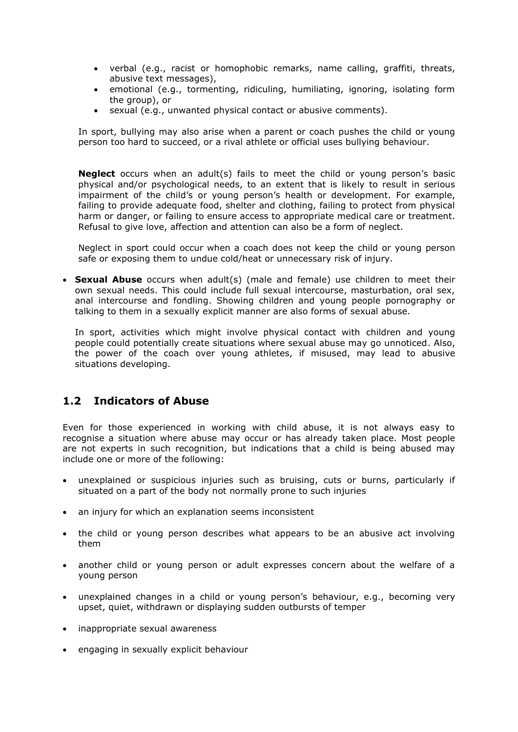- verbal (e.g., racist or homophobic remarks, name calling, graffiti, threats, abusive text messages),
- emotional (e.g., tormenting, ridiculing, humiliating, ignoring, isolating form the group), or
- sexual (e.g., unwanted physical contact or abusive comments).

In sport, bullying may also arise when a parent or coach pushes the child or young person too hard to succeed, or a rival athlete or official uses bullying behaviour.

**Neglect** occurs when an adult(s) fails to meet the child or young person's basic physical and/or psychological needs, to an extent that is likely to result in serious impairment of the child's or young person's health or development. For example, failing to provide adequate food, shelter and clothing, failing to protect from physical harm or danger, or failing to ensure access to appropriate medical care or treatment. Refusal to give love, affection and attention can also be a form of neglect.

Neglect in sport could occur when a coach does not keep the child or young person safe or exposing them to undue cold/heat or unnecessary risk of injury.

• **Sexual Abuse** occurs when adult(s) (male and female) use children to meet their own sexual needs. This could include full sexual intercourse, masturbation, oral sex, anal intercourse and fondling. Showing children and young people pornography or talking to them in a sexually explicit manner are also forms of sexual abuse.

In sport, activities which might involve physical contact with children and young people could potentially create situations where sexual abuse may go unnoticed. Also, the power of the coach over young athletes, if misused, may lead to abusive situations developing.

#### **1.2 Indicators of Abuse**

Even for those experienced in working with child abuse, it is not always easy to recognise a situation where abuse may occur or has already taken place. Most people are not experts in such recognition, but indications that a child is being abused may include one or more of the following:

- unexplained or suspicious injuries such as bruising, cuts or burns, particularly if situated on a part of the body not normally prone to such injuries
- an injury for which an explanation seems inconsistent
- the child or young person describes what appears to be an abusive act involving them
- another child or young person or adult expresses concern about the welfare of a young person
- unexplained changes in a child or young person's behaviour, e.g., becoming very upset, quiet, withdrawn or displaying sudden outbursts of temper
- inappropriate sexual awareness
- engaging in sexually explicit behaviour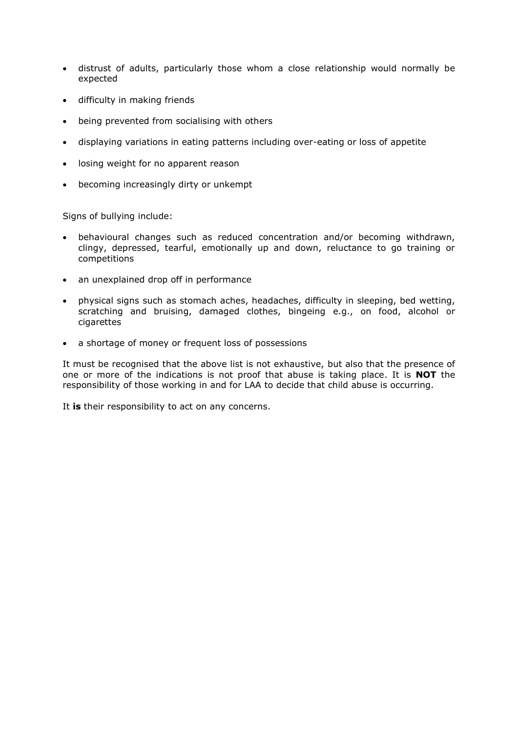- distrust of adults, particularly those whom a close relationship would normally be expected
- difficulty in making friends
- being prevented from socialising with others
- displaying variations in eating patterns including over-eating or loss of appetite
- losing weight for no apparent reason
- becoming increasingly dirty or unkempt

Signs of bullying include:

- behavioural changes such as reduced concentration and/or becoming withdrawn, clingy, depressed, tearful, emotionally up and down, reluctance to go training or competitions
- an unexplained drop off in performance
- physical signs such as stomach aches, headaches, difficulty in sleeping, bed wetting, scratching and bruising, damaged clothes, bingeing e.g., on food, alcohol or cigarettes
- a shortage of money or frequent loss of possessions

It must be recognised that the above list is not exhaustive, but also that the presence of one or more of the indications is not proof that abuse is taking place. It is **NOT** the responsibility of those working in and for LAA to decide that child abuse is occurring.

It **is** their responsibility to act on any concerns.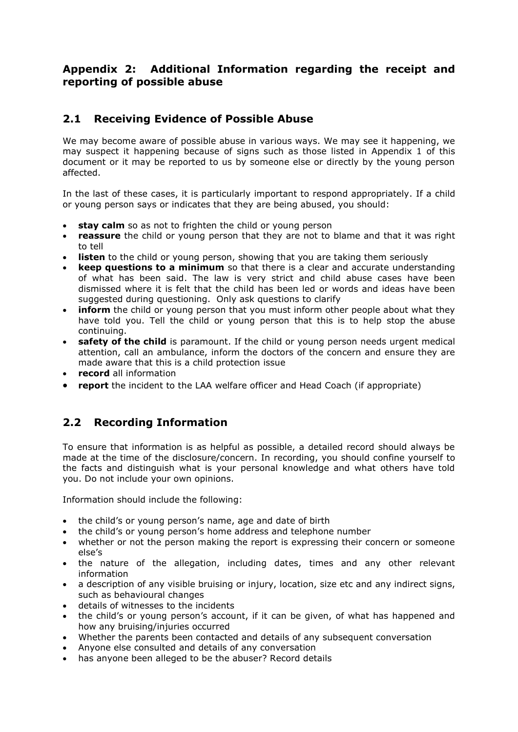#### **Appendix 2: Additional Information regarding the receipt and reporting of possible abuse**

#### **2.1 Receiving Evidence of Possible Abuse**

We may become aware of possible abuse in various ways. We may see it happening, we may suspect it happening because of signs such as those listed in Appendix 1 of this document or it may be reported to us by someone else or directly by the young person affected.

In the last of these cases, it is particularly important to respond appropriately. If a child or young person says or indicates that they are being abused, you should:

- **stay calm** so as not to frighten the child or young person
- **reassure** the child or young person that they are not to blame and that it was right to tell
- **listen** to the child or young person, showing that you are taking them seriously
- **keep questions to a minimum** so that there is a clear and accurate understanding of what has been said. The law is very strict and child abuse cases have been dismissed where it is felt that the child has been led or words and ideas have been suggested during questioning. Only ask questions to clarify
- **inform** the child or young person that you must inform other people about what they have told you. Tell the child or young person that this is to help stop the abuse continuing.
- safety of the child is paramount. If the child or young person needs urgent medical attention, call an ambulance, inform the doctors of the concern and ensure they are made aware that this is a child protection issue
- **record** all information
- **report** the incident to the LAA welfare officer and Head Coach (if appropriate)

#### **2.2 Recording Information**

To ensure that information is as helpful as possible, a detailed record should always be made at the time of the disclosure/concern. In recording, you should confine yourself to the facts and distinguish what is your personal knowledge and what others have told you. Do not include your own opinions.

Information should include the following:

- the child's or young person's name, age and date of birth
- the child's or young person's home address and telephone number
- whether or not the person making the report is expressing their concern or someone else's
- the nature of the allegation, including dates, times and any other relevant information
- a description of any visible bruising or injury, location, size etc and any indirect signs, such as behavioural changes
- details of witnesses to the incidents
- the child's or young person's account, if it can be given, of what has happened and how any bruising/injuries occurred
- Whether the parents been contacted and details of any subsequent conversation
- Anyone else consulted and details of any conversation
- has anyone been alleged to be the abuser? Record details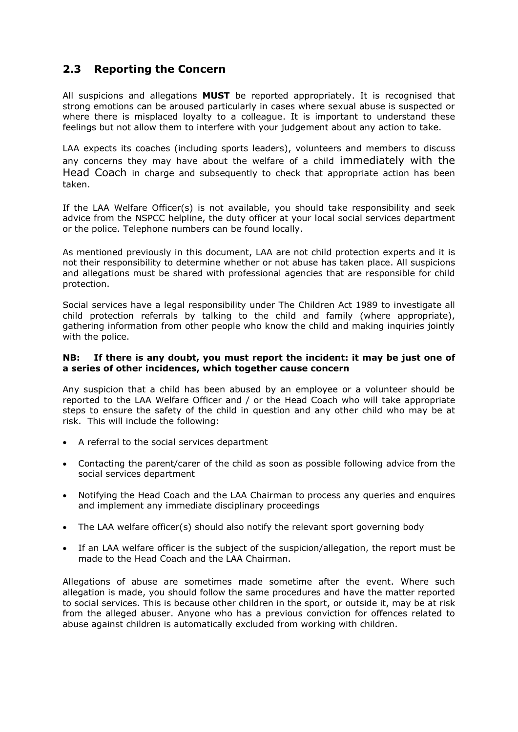## **2.3 Reporting the Concern**

All suspicions and allegations **MUST** be reported appropriately. It is recognised that strong emotions can be aroused particularly in cases where sexual abuse is suspected or where there is misplaced loyalty to a colleague. It is important to understand these feelings but not allow them to interfere with your judgement about any action to take.

LAA expects its coaches (including sports leaders), volunteers and members to discuss any concerns they may have about the welfare of a child immediately with the Head Coach in charge and subsequently to check that appropriate action has been taken.

If the LAA Welfare Officer(s) is not available, you should take responsibility and seek advice from the NSPCC helpline, the duty officer at your local social services department or the police. Telephone numbers can be found locally.

As mentioned previously in this document, LAA are not child protection experts and it is not their responsibility to determine whether or not abuse has taken place. All suspicions and allegations must be shared with professional agencies that are responsible for child protection.

Social services have a legal responsibility under The Children Act 1989 to investigate all child protection referrals by talking to the child and family (where appropriate), gathering information from other people who know the child and making inquiries jointly with the police.

#### **NB: If there is any doubt, you must report the incident: it may be just one of a series of other incidences, which together cause concern**

Any suspicion that a child has been abused by an employee or a volunteer should be reported to the LAA Welfare Officer and / or the Head Coach who will take appropriate steps to ensure the safety of the child in question and any other child who may be at risk. This will include the following:

- A referral to the social services department
- Contacting the parent/carer of the child as soon as possible following advice from the social services department
- Notifying the Head Coach and the LAA Chairman to process any queries and enquires and implement any immediate disciplinary proceedings
- The LAA welfare officer(s) should also notify the relevant sport governing body
- If an LAA welfare officer is the subject of the suspicion/allegation, the report must be made to the Head Coach and the LAA Chairman.

Allegations of abuse are sometimes made sometime after the event. Where such allegation is made, you should follow the same procedures and have the matter reported to social services. This is because other children in the sport, or outside it, may be at risk from the alleged abuser. Anyone who has a previous conviction for offences related to abuse against children is automatically excluded from working with children.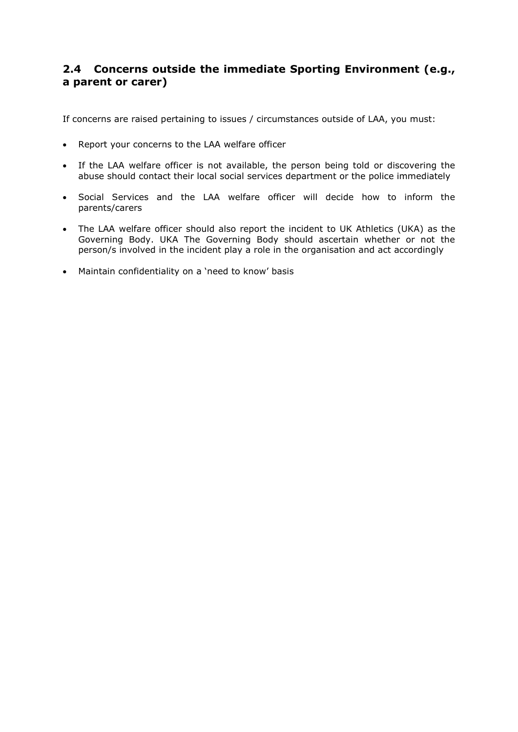#### **2.4 Concerns outside the immediate Sporting Environment (e.g., a parent or carer)**

If concerns are raised pertaining to issues / circumstances outside of LAA, you must:

- Report your concerns to the LAA welfare officer
- If the LAA welfare officer is not available, the person being told or discovering the abuse should contact their local social services department or the police immediately
- Social Services and the LAA welfare officer will decide how to inform the parents/carers
- The LAA welfare officer should also report the incident to UK Athletics (UKA) as the Governing Body. UKA The Governing Body should ascertain whether or not the person/s involved in the incident play a role in the organisation and act accordingly
- Maintain confidentiality on a 'need to know' basis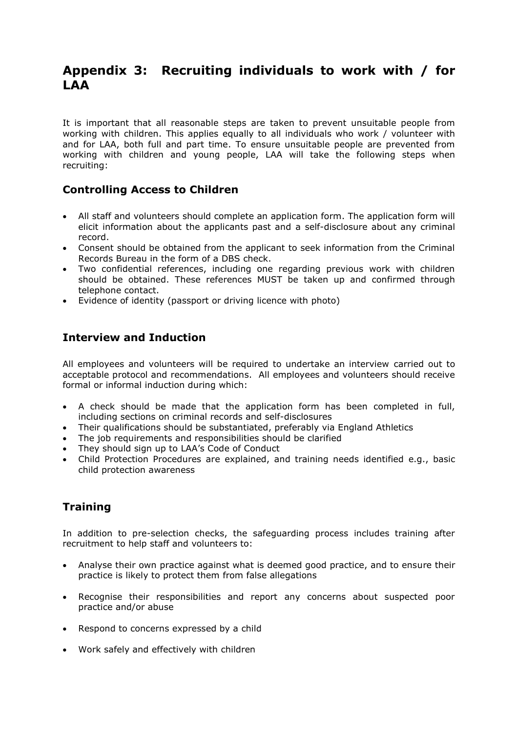## **Appendix 3: Recruiting individuals to work with / for LAA**

It is important that all reasonable steps are taken to prevent unsuitable people from working with children. This applies equally to all individuals who work / volunteer with and for LAA, both full and part time. To ensure unsuitable people are prevented from working with children and young people, LAA will take the following steps when recruiting:

#### **Controlling Access to Children**

- All staff and volunteers should complete an application form. The application form will elicit information about the applicants past and a self-disclosure about any criminal record.
- Consent should be obtained from the applicant to seek information from the Criminal Records Bureau in the form of a DBS check.
- Two confidential references, including one regarding previous work with children should be obtained. These references MUST be taken up and confirmed through telephone contact.
- Evidence of identity (passport or driving licence with photo)

#### **Interview and Induction**

All employees and volunteers will be required to undertake an interview carried out to acceptable protocol and recommendations. All employees and volunteers should receive formal or informal induction during which:

- A check should be made that the application form has been completed in full, including sections on criminal records and self-disclosures
- Their qualifications should be substantiated, preferably via England Athletics
- The job requirements and responsibilities should be clarified
- They should sign up to LAA's Code of Conduct
- Child Protection Procedures are explained, and training needs identified e.g., basic child protection awareness

## **Training**

In addition to pre-selection checks, the safeguarding process includes training after recruitment to help staff and volunteers to:

- Analyse their own practice against what is deemed good practice, and to ensure their practice is likely to protect them from false allegations
- Recognise their responsibilities and report any concerns about suspected poor practice and/or abuse
- Respond to concerns expressed by a child
- Work safely and effectively with children